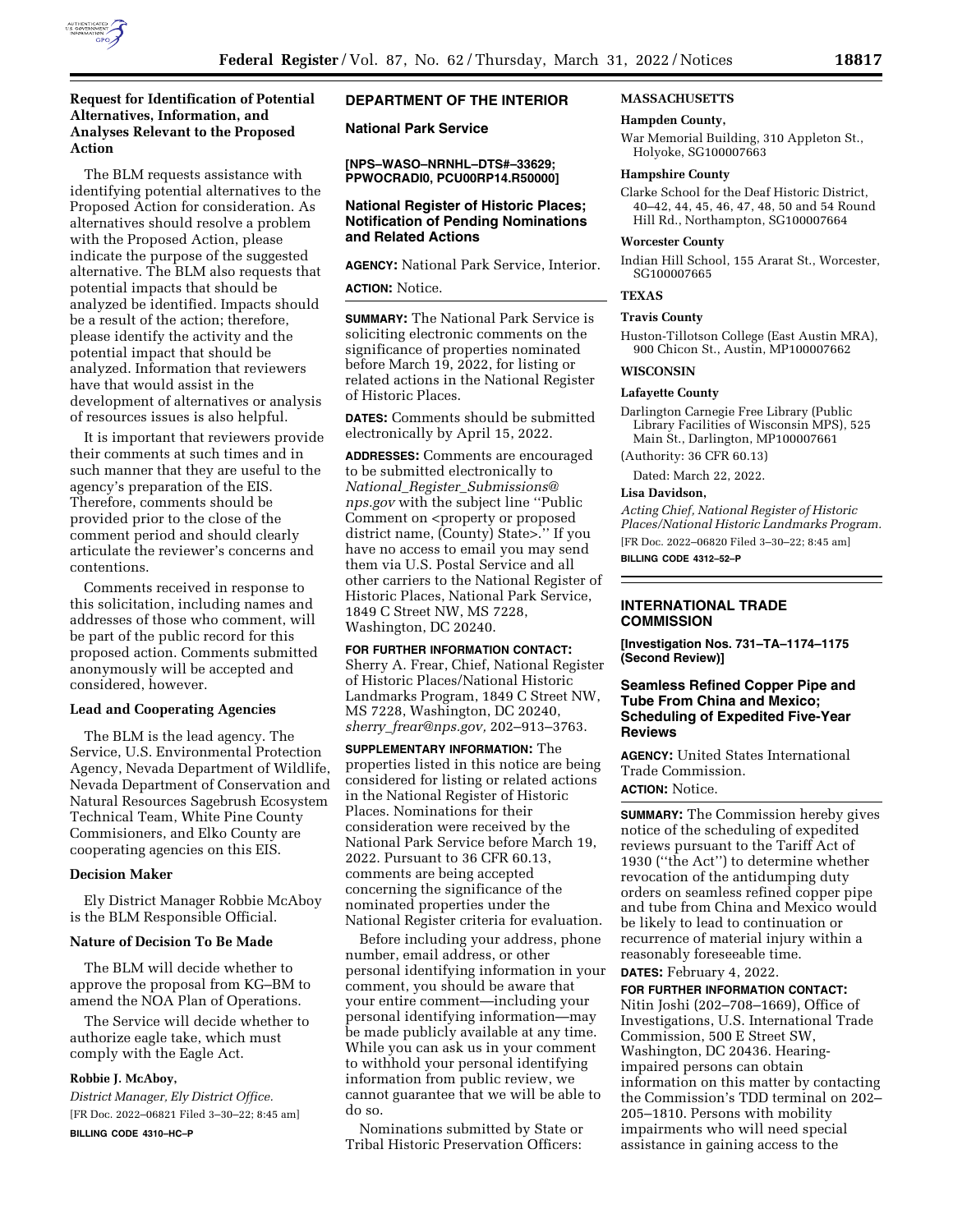

# **Request for Identification of Potential Alternatives, Information, and Analyses Relevant to the Proposed Action**

The BLM requests assistance with identifying potential alternatives to the Proposed Action for consideration. As alternatives should resolve a problem with the Proposed Action, please indicate the purpose of the suggested alternative. The BLM also requests that potential impacts that should be analyzed be identified. Impacts should be a result of the action; therefore, please identify the activity and the potential impact that should be analyzed. Information that reviewers have that would assist in the development of alternatives or analysis of resources issues is also helpful.

It is important that reviewers provide their comments at such times and in such manner that they are useful to the agency's preparation of the EIS. Therefore, comments should be provided prior to the close of the comment period and should clearly articulate the reviewer's concerns and contentions.

Comments received in response to this solicitation, including names and addresses of those who comment, will be part of the public record for this proposed action. Comments submitted anonymously will be accepted and considered, however.

### **Lead and Cooperating Agencies**

The BLM is the lead agency. The Service, U.S. Environmental Protection Agency, Nevada Department of Wildlife, Nevada Department of Conservation and Natural Resources Sagebrush Ecosystem Technical Team, White Pine County Commisioners, and Elko County are cooperating agencies on this EIS.

### **Decision Maker**

Ely District Manager Robbie McAboy is the BLM Responsible Official.

### **Nature of Decision To Be Made**

The BLM will decide whether to approve the proposal from KG–BM to amend the NOA Plan of Operations.

The Service will decide whether to authorize eagle take, which must comply with the Eagle Act.

#### **Robbie J. McAboy,**

*District Manager, Ely District Office.*  [FR Doc. 2022–06821 Filed 3–30–22; 8:45 am] **BILLING CODE 4310–HC–P** 

# **DEPARTMENT OF THE INTERIOR**

**National Park Service** 

**[NPS–WASO–NRNHL–DTS#–33629; PPWOCRADI0, PCU00RP14.R50000]** 

## **National Register of Historic Places; Notification of Pending Nominations and Related Actions**

**AGENCY:** National Park Service, Interior.

# **ACTION:** Notice.

**SUMMARY:** The National Park Service is soliciting electronic comments on the significance of properties nominated before March 19, 2022, for listing or related actions in the National Register of Historic Places.

**DATES:** Comments should be submitted electronically by April 15, 2022.

**ADDRESSES:** Comments are encouraged to be submitted electronically to *National*\_*Register*\_*Submissions@ nps.gov* with the subject line ''Public Comment on <property or proposed district name, (County) State>.'' If you have no access to email you may send them via U.S. Postal Service and all other carriers to the National Register of Historic Places, National Park Service, 1849 C Street NW, MS 7228, Washington, DC 20240.

### **FOR FURTHER INFORMATION CONTACT:**

Sherry A. Frear, Chief, National Register of Historic Places/National Historic Landmarks Program, 1849 C Street NW, MS 7228, Washington, DC 20240, *sherry*\_*frear@nps.gov,* 202–913–3763.

**SUPPLEMENTARY INFORMATION:** The properties listed in this notice are being considered for listing or related actions in the National Register of Historic Places. Nominations for their consideration were received by the National Park Service before March 19, 2022. Pursuant to 36 CFR 60.13, comments are being accepted concerning the significance of the nominated properties under the National Register criteria for evaluation.

Before including your address, phone number, email address, or other personal identifying information in your comment, you should be aware that your entire comment—including your personal identifying information—may be made publicly available at any time. While you can ask us in your comment to withhold your personal identifying information from public review, we cannot guarantee that we will be able to do so.

Nominations submitted by State or Tribal Historic Preservation Officers:

### **MASSACHUSETTS**

#### **Hampden County,**

War Memorial Building, 310 Appleton St., Holyoke, SG100007663

#### **Hampshire County**

Clarke School for the Deaf Historic District, 40–42, 44, 45, 46, 47, 48, 50 and 54 Round Hill Rd., Northampton, SG100007664

#### **Worcester County**

Indian Hill School, 155 Ararat St., Worcester, SG100007665

#### **TEXAS**

# **Travis County**

Huston-Tillotson College (East Austin MRA), 900 Chicon St., Austin, MP100007662

#### **WISCONSIN**

#### **Lafayette County**

Darlington Carnegie Free Library (Public Library Facilities of Wisconsin MPS), 525 Main St., Darlington, MP100007661

(Authority: 36 CFR 60.13)

Dated: March 22, 2022.

#### **Lisa Davidson,**

*Acting Chief, National Register of Historic Places/National Historic Landmarks Program.*  [FR Doc. 2022–06820 Filed 3–30–22; 8:45 am] **BILLING CODE 4312–52–P** 

# **INTERNATIONAL TRADE COMMISSION**

**[Investigation Nos. 731–TA–1174–1175 (Second Review)]** 

### **Seamless Refined Copper Pipe and Tube From China and Mexico; Scheduling of Expedited Five-Year Reviews**

**AGENCY:** United States International Trade Commission. **ACTION:** Notice.

**SUMMARY:** The Commission hereby gives notice of the scheduling of expedited reviews pursuant to the Tariff Act of 1930 (''the Act'') to determine whether revocation of the antidumping duty orders on seamless refined copper pipe and tube from China and Mexico would be likely to lead to continuation or recurrence of material injury within a reasonably foreseeable time.

# **DATES:** February 4, 2022.

**FOR FURTHER INFORMATION CONTACT:**  Nitin Joshi (202–708–1669), Office of Investigations, U.S. International Trade Commission, 500 E Street SW, Washington, DC 20436. Hearingimpaired persons can obtain information on this matter by contacting the Commission's TDD terminal on 202– 205–1810. Persons with mobility impairments who will need special assistance in gaining access to the